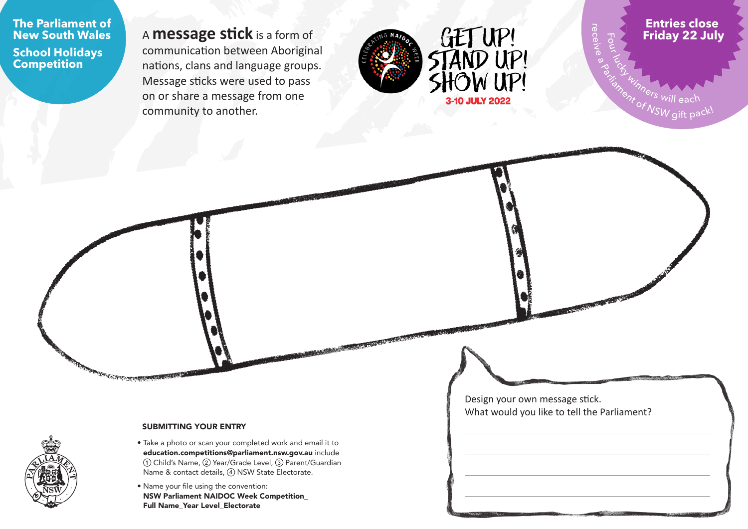**The Parliament of New South Wales**

**School Holidays Competition**

<sup>A</sup>**message stick** is a form of communication between Aboriginal nations, clans and language groups. Message sticks were used to pass on or share a message from one community to another.



**Entries close Friday 22 July**

Fo u r

rወ  $\cap$ ወ ive<br>S  $\infty$ 

Enterprise will each Parliament of NSW gift pack!

#### SUBMITTING YOUR ENTRY

**REAL PROPERTY COMPANY** 

- Take a photo or scan your completed work and email it to [education.competitions@parliament.nsw.gov.au](mailto:education.competitions%40parliament.nsw.gov.au?subject=PNSW%20NAIDOC%20Week%20Competition%20July%202022) include (1) Child's Name, 2 Year/Grade Level, 3 Parent/Guardian Name & contact details,  $\left(4\right)$  NSW State Electorate.
- Name your file using the convention: NSW Parliament NAIDOC Week Competition\_ Full Name\_Year Level\_Electorate

Design your own message stick. What would you like to tell the Parliament?